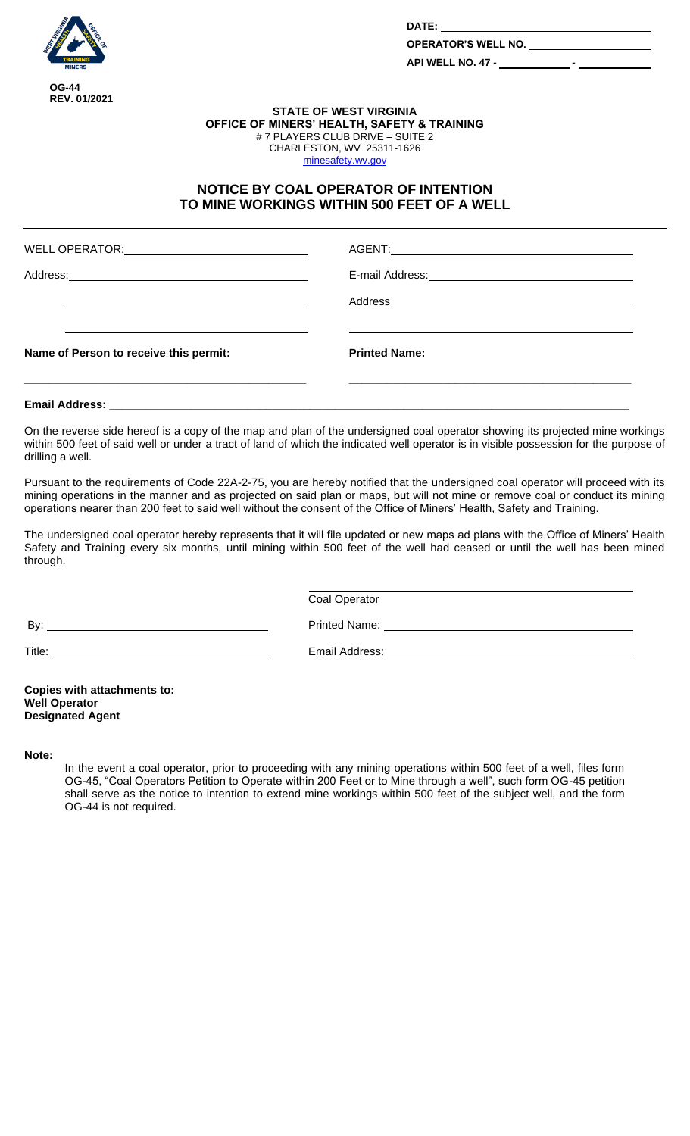

**DATE:** 

**OPERATOR'S WELL NO.** 

**API WELL NO. 47 - -**

## **STATE OF WEST VIRGINIA OFFICE OF MINERS' HEALTH, SAFETY & TRAINING** # 7 PLAYERS CLUB DRIVE – SUITE 2 CHARLESTON, WV 25311-1626 [minesafety.wv.gov](https://minesafety.wv.gov/)

## **NOTICE BY COAL OPERATOR OF INTENTION TO MINE WORKINGS WITHIN 500 FEET OF A WELL**

|                                        | Address and the contract of the contract of the contract of the contract of the contract of the contract of the contract of the contract of the contract of the contract of the contract of the contract of the contract of th |
|----------------------------------------|--------------------------------------------------------------------------------------------------------------------------------------------------------------------------------------------------------------------------------|
|                                        |                                                                                                                                                                                                                                |
| Name of Person to receive this permit: | <b>Printed Name:</b>                                                                                                                                                                                                           |
|                                        |                                                                                                                                                                                                                                |

On the reverse side hereof is a copy of the map and plan of the undersigned coal operator showing its projected mine workings within 500 feet of said well or under a tract of land of which the indicated well operator is in visible possession for the purpose of drilling a well.

Pursuant to the requirements of Code 22A-2-75, you are hereby notified that the undersigned coal operator will proceed with its mining operations in the manner and as projected on said plan or maps, but will not mine or remove coal or conduct its mining operations nearer than 200 feet to said well without the consent of the Office of Miners' Health, Safety and Training.

The undersigned coal operator hereby represents that it will file updated or new maps ad plans with the Office of Miners' Health Safety and Training every six months, until mining within 500 feet of the well had ceased or until the well has been mined through.

Coal Operator

By: Printed Name:

Title: Email Address:

**Copies with attachments to: Well Operator Designated Agent**

**Note:**

In the event a coal operator, prior to proceeding with any mining operations within 500 feet of a well, files form OG-45, "Coal Operators Petition to Operate within 200 Feet or to Mine through a well", such form OG-45 petition shall serve as the notice to intention to extend mine workings within 500 feet of the subject well, and the form OG-44 is not required.